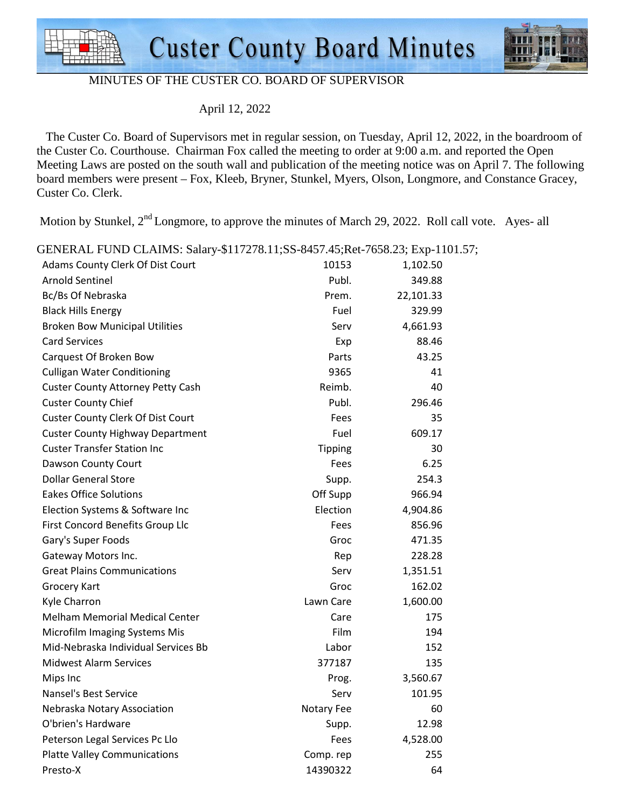



#### MINUTES OF THE CUSTER CO. BOARD OF SUPERVISOR

April 12, 2022

 The Custer Co. Board of Supervisors met in regular session, on Tuesday, April 12, 2022, in the boardroom of the Custer Co. Courthouse. Chairman Fox called the meeting to order at 9:00 a.m. and reported the Open Meeting Laws are posted on the south wall and publication of the meeting notice was on April 7. The following board members were present – Fox, Kleeb, Bryner, Stunkel, Myers, Olson, Longmore, and Constance Gracey, Custer Co. Clerk.

Motion by Stunkel,  $2<sup>nd</sup>$  Longmore, to approve the minutes of March 29, 2022. Roll call vote. Ayes- all

| OLIVERAL PUND CLAIND. Salai y-\$117276.11,55-6497.49,REC-7096.29, EXP-1101 |                |           |
|----------------------------------------------------------------------------|----------------|-----------|
| Adams County Clerk Of Dist Court                                           | 10153          | 1,102.50  |
| <b>Arnold Sentinel</b>                                                     | Publ.          | 349.88    |
| Bc/Bs Of Nebraska                                                          | Prem.          | 22,101.33 |
| <b>Black Hills Energy</b>                                                  | Fuel           | 329.99    |
| <b>Broken Bow Municipal Utilities</b>                                      | Serv           | 4,661.93  |
| <b>Card Services</b>                                                       | Exp            | 88.46     |
| Carquest Of Broken Bow                                                     | Parts          | 43.25     |
| <b>Culligan Water Conditioning</b>                                         | 9365           | 41        |
| <b>Custer County Attorney Petty Cash</b>                                   | Reimb.         | 40        |
| <b>Custer County Chief</b>                                                 | Publ.          | 296.46    |
| <b>Custer County Clerk Of Dist Court</b>                                   | Fees           | 35        |
| <b>Custer County Highway Department</b>                                    | Fuel           | 609.17    |
| <b>Custer Transfer Station Inc</b>                                         | <b>Tipping</b> | 30        |
| Dawson County Court                                                        | Fees           | 6.25      |
| <b>Dollar General Store</b>                                                | Supp.          | 254.3     |
| <b>Eakes Office Solutions</b>                                              | Off Supp       | 966.94    |
| Election Systems & Software Inc                                            | Election       | 4,904.86  |
| First Concord Benefits Group Llc                                           | Fees           | 856.96    |
| Gary's Super Foods                                                         | Groc           | 471.35    |
| Gateway Motors Inc.                                                        | Rep            | 228.28    |
| <b>Great Plains Communications</b>                                         | Serv           | 1,351.51  |
| <b>Grocery Kart</b>                                                        | Groc           | 162.02    |
| Kyle Charron                                                               | Lawn Care      | 1,600.00  |
| <b>Melham Memorial Medical Center</b>                                      | Care           | 175       |
| Microfilm Imaging Systems Mis                                              | Film           | 194       |
| Mid-Nebraska Individual Services Bb                                        | Labor          | 152       |
| <b>Midwest Alarm Services</b>                                              | 377187         | 135       |
| Mips Inc                                                                   | Prog.          | 3,560.67  |
| Nansel's Best Service                                                      | Serv           | 101.95    |
| Nebraska Notary Association                                                | Notary Fee     | 60        |
| O'brien's Hardware                                                         | Supp.          | 12.98     |
| Peterson Legal Services Pc Llo                                             | Fees           | 4,528.00  |
| <b>Platte Valley Communications</b>                                        | Comp.rep       | 255       |
| Presto-X                                                                   | 14390322       | 64        |

GENERAL FUND CLAIMS: Salary-\$117278.11;SS-8457.45;Ret-7658.23; Exp-1101.57;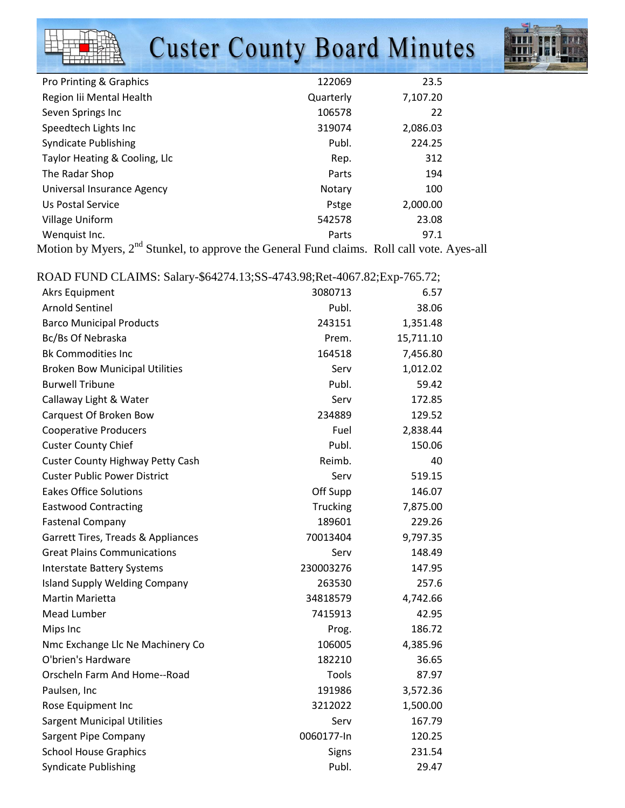## **Custer County Board Minutes**



| Pro Printing & Graphics                                                                     | 122069    | 23.5     |
|---------------------------------------------------------------------------------------------|-----------|----------|
| Region Iii Mental Health                                                                    | Quarterly | 7,107.20 |
| Seven Springs Inc                                                                           | 106578    | 22       |
| Speedtech Lights Inc                                                                        | 319074    | 2,086.03 |
| <b>Syndicate Publishing</b>                                                                 | Publ.     | 224.25   |
| Taylor Heating & Cooling, Llc                                                               | Rep.      | 312      |
| The Radar Shop                                                                              | Parts     | 194      |
| Universal Insurance Agency                                                                  | Notary    | 100      |
| Us Postal Service                                                                           | Pstge     | 2,000.00 |
| Village Uniform                                                                             | 542578    | 23.08    |
| Wenquist Inc.                                                                               | Parts     | 97.1     |
| Matiga by Myram $2^{nd}$ Chyplial, to approve the Cananal Evad alguns $D_0$ ll acli yate As |           |          |

Motion by Myers, 2<sup>nd</sup> Stunkel, to approve the General Fund claims. Roll call vote. Ayes-all

| ROAD FUND CLAIMS: Salary-\$64274.13;SS-4743.98;Ret-4067.82;Exp-765.72; |            |           |
|------------------------------------------------------------------------|------------|-----------|
| <b>Akrs Equipment</b>                                                  | 3080713    | 6.57      |
| <b>Arnold Sentinel</b>                                                 | Publ.      | 38.06     |
| <b>Barco Municipal Products</b>                                        | 243151     | 1,351.48  |
| Bc/Bs Of Nebraska                                                      | Prem.      | 15,711.10 |
| <b>Bk Commodities Inc</b>                                              | 164518     | 7,456.80  |
| <b>Broken Bow Municipal Utilities</b>                                  | Serv       | 1,012.02  |
| <b>Burwell Tribune</b>                                                 | Publ.      | 59.42     |
| Callaway Light & Water                                                 | Serv       | 172.85    |
| Carquest Of Broken Bow                                                 | 234889     | 129.52    |
| <b>Cooperative Producers</b>                                           | Fuel       | 2,838.44  |
| <b>Custer County Chief</b>                                             | Publ.      | 150.06    |
| <b>Custer County Highway Petty Cash</b>                                | Reimb.     | 40        |
| <b>Custer Public Power District</b>                                    | Serv       | 519.15    |
| <b>Eakes Office Solutions</b>                                          | Off Supp   | 146.07    |
| <b>Eastwood Contracting</b>                                            | Trucking   | 7,875.00  |
| <b>Fastenal Company</b>                                                | 189601     | 229.26    |
| Garrett Tires, Treads & Appliances                                     | 70013404   | 9,797.35  |
| <b>Great Plains Communications</b>                                     | Serv       | 148.49    |
| <b>Interstate Battery Systems</b>                                      | 230003276  | 147.95    |
| <b>Island Supply Welding Company</b>                                   | 263530     | 257.6     |
| Martin Marietta                                                        | 34818579   | 4,742.66  |
| Mead Lumber                                                            | 7415913    | 42.95     |
| Mips Inc                                                               | Prog.      | 186.72    |
| Nmc Exchange Llc Ne Machinery Co                                       | 106005     | 4,385.96  |
| O'brien's Hardware                                                     | 182210     | 36.65     |
| Orscheln Farm And Home--Road                                           | Tools      | 87.97     |
| Paulsen, Inc                                                           | 191986     | 3,572.36  |
| Rose Equipment Inc                                                     | 3212022    | 1,500.00  |
| <b>Sargent Municipal Utilities</b>                                     | Serv       | 167.79    |
| Sargent Pipe Company                                                   | 0060177-In | 120.25    |
| <b>School House Graphics</b>                                           | Signs      | 231.54    |
| <b>Syndicate Publishing</b>                                            | Publ.      | 29.47     |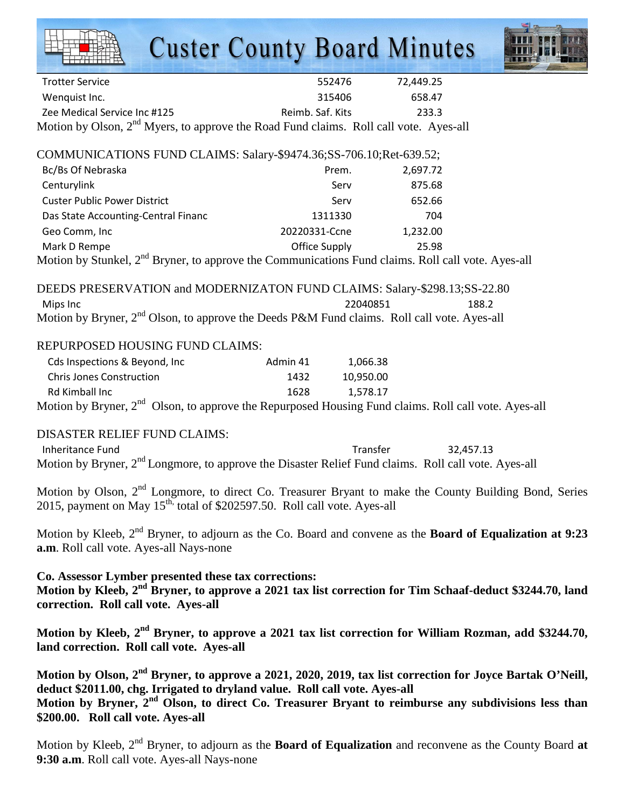# **Custer County Board Minutes**



| <b>Trotter Service</b>                                                                            | 552476           | 72.449.25 |
|---------------------------------------------------------------------------------------------------|------------------|-----------|
| Wenguist Inc.                                                                                     | 315406           | 658.47    |
| Zee Medical Service Inc #125                                                                      | Reimb. Saf. Kits | 233.3     |
| Motion by Olson, 2 <sup>nd</sup> Myers, to approve the Road Fund claims. Roll call vote. Ayes-all |                  |           |

COMMUNICATIONS FUND CLAIMS: Salary-\$9474.36;SS-706.10;Ret-639.52;

| Bc/Bs Of Nebraska                   | Prem.         | 2,697.72 |
|-------------------------------------|---------------|----------|
| Centurylink                         | Serv          | 875.68   |
| <b>Custer Public Power District</b> | Serv          | 652.66   |
| Das State Accounting-Central Financ | 1311330       | 704      |
| Geo Comm, Inc                       | 20220331-Ccne | 1,232.00 |
| Mark D Rempe<br>$\mathbf{A}$        | Office Supply | 25.98    |

Motion by Stunkel,  $2<sup>nd</sup>$  Bryner, to approve the Communications Fund claims. Roll call vote. Ayes-all

DEEDS PRESERVATION and MODERNIZATON FUND CLAIMS: Salary-\$298.13;SS-22.80 Mips Inc 22040851 188.2 Motion by Bryner,  $2<sup>nd</sup>$  Olson, to approve the Deeds P&M Fund claims. Roll call vote. Ayes-all

### REPURPOSED HOUSING FUND CLAIMS:

| Cds Inspections & Beyond, Inc.                                                                                   | Admin 41 | 1.066.38  |  |
|------------------------------------------------------------------------------------------------------------------|----------|-----------|--|
| <b>Chris Jones Construction</b>                                                                                  | 1432     | 10.950.00 |  |
| Rd Kimball Inc                                                                                                   | 1628     | 1.578.17  |  |
| Motion by Bryner, 2 <sup>nd</sup> Olson, to approve the Repurposed Housing Fund claims. Roll call vote. Ayes-all |          |           |  |

### DISASTER RELIEF FUND CLAIMS:

Inheritance Fund **Intervention Community** Controller Transfer and Transfer and 32,457.13 Motion by Bryner, 2<sup>nd</sup> Longmore, to approve the Disaster Relief Fund claims. Roll call vote. Ayes-all

Motion by Olson, 2<sup>nd</sup> Longmore, to direct Co. Treasurer Bryant to make the County Building Bond, Series  $2015$ , payment on May  $15<sup>th</sup>$ , total of \$202597.50. Roll call vote. Ayes-all

Motion by Kleeb, 2nd Bryner, to adjourn as the Co. Board and convene as the **Board of Equalization at 9:23 a.m**. Roll call vote. Ayes-all Nays-none

**Co. Assessor Lymber presented these tax corrections: Motion by Kleeb, 2nd Bryner, to approve a 2021 tax list correction for Tim Schaaf-deduct \$3244.70, land correction. Roll call vote. Ayes-all** 

**Motion by Kleeb, 2nd Bryner, to approve a 2021 tax list correction for William Rozman, add \$3244.70, land correction. Roll call vote. Ayes-all** 

**Motion by Olson, 2nd Bryner, to approve a 2021, 2020, 2019, tax list correction for Joyce Bartak O'Neill, deduct \$2011.00, chg. Irrigated to dryland value. Roll call vote. Ayes-all Motion by Bryner, 2nd Olson, to direct Co. Treasurer Bryant to reimburse any subdivisions less than \$200.00. Roll call vote. Ayes-all** 

Motion by Kleeb, 2<sup>nd</sup> Bryner, to adjourn as the **Board of Equalization** and reconvene as the County Board **at 9:30 a.m**. Roll call vote. Ayes-all Nays-none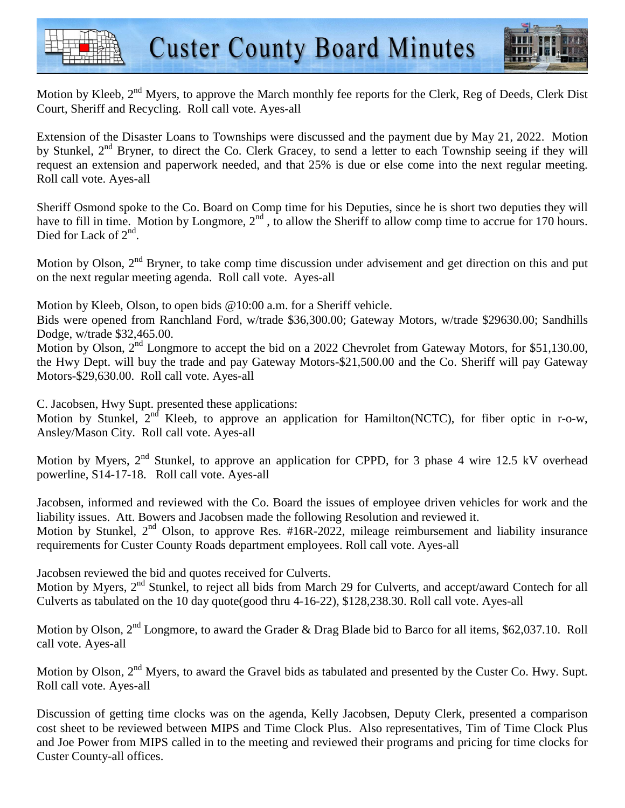



Motion by Kleeb, 2<sup>nd</sup> Myers, to approve the March monthly fee reports for the Clerk, Reg of Deeds, Clerk Dist Court, Sheriff and Recycling. Roll call vote. Ayes-all

Extension of the Disaster Loans to Townships were discussed and the payment due by May 21, 2022. Motion by Stunkel, 2<sup>nd</sup> Bryner, to direct the Co. Clerk Gracey, to send a letter to each Township seeing if they will request an extension and paperwork needed, and that 25% is due or else come into the next regular meeting. Roll call vote. Ayes-all

Sheriff Osmond spoke to the Co. Board on Comp time for his Deputies, since he is short two deputies they will have to fill in time. Motion by Longmore,  $2<sup>nd</sup>$ , to allow the Sheriff to allow comp time to accrue for 170 hours. Died for Lack of 2<sup>nd</sup>.

Motion by Olson, 2<sup>nd</sup> Bryner, to take comp time discussion under advisement and get direction on this and put on the next regular meeting agenda. Roll call vote. Ayes-all

Motion by Kleeb, Olson, to open bids @10:00 a.m. for a Sheriff vehicle.

Bids were opened from Ranchland Ford, w/trade \$36,300.00; Gateway Motors, w/trade \$29630.00; Sandhills Dodge, w/trade \$32,465.00.

Motion by Olson, 2<sup>nd</sup> Longmore to accept the bid on a 2022 Chevrolet from Gateway Motors, for \$51,130.00, the Hwy Dept. will buy the trade and pay Gateway Motors-\$21,500.00 and the Co. Sheriff will pay Gateway Motors-\$29,630.00. Roll call vote. Ayes-all

C. Jacobsen, Hwy Supt. presented these applications:

Motion by Stunkel,  $2^{nd}$  Kleeb, to approve an application for Hamilton(NCTC), for fiber optic in r-o-w, Ansley/Mason City. Roll call vote. Ayes-all

Motion by Myers, 2<sup>nd</sup> Stunkel, to approve an application for CPPD, for 3 phase 4 wire 12.5 kV overhead powerline, S14-17-18. Roll call vote. Ayes-all

Jacobsen, informed and reviewed with the Co. Board the issues of employee driven vehicles for work and the liability issues. Att. Bowers and Jacobsen made the following Resolution and reviewed it. Motion by Stunkel, 2<sup>nd</sup> Olson, to approve Res. #16R-2022, mileage reimbursement and liability insurance requirements for Custer County Roads department employees. Roll call vote. Ayes-all

Jacobsen reviewed the bid and quotes received for Culverts.

Motion by Myers, 2<sup>nd</sup> Stunkel, to reject all bids from March 29 for Culverts, and accept/award Contech for all Culverts as tabulated on the 10 day quote(good thru 4-16-22), \$128,238.30. Roll call vote. Ayes-all

Motion by Olson, 2<sup>nd</sup> Longmore, to award the Grader & Drag Blade bid to Barco for all items, \$62,037.10. Roll call vote. Ayes-all

Motion by Olson, 2<sup>nd</sup> Myers, to award the Gravel bids as tabulated and presented by the Custer Co. Hwy. Supt. Roll call vote. Ayes-all

Discussion of getting time clocks was on the agenda, Kelly Jacobsen, Deputy Clerk, presented a comparison cost sheet to be reviewed between MIPS and Time Clock Plus. Also representatives, Tim of Time Clock Plus and Joe Power from MIPS called in to the meeting and reviewed their programs and pricing for time clocks for Custer County-all offices.